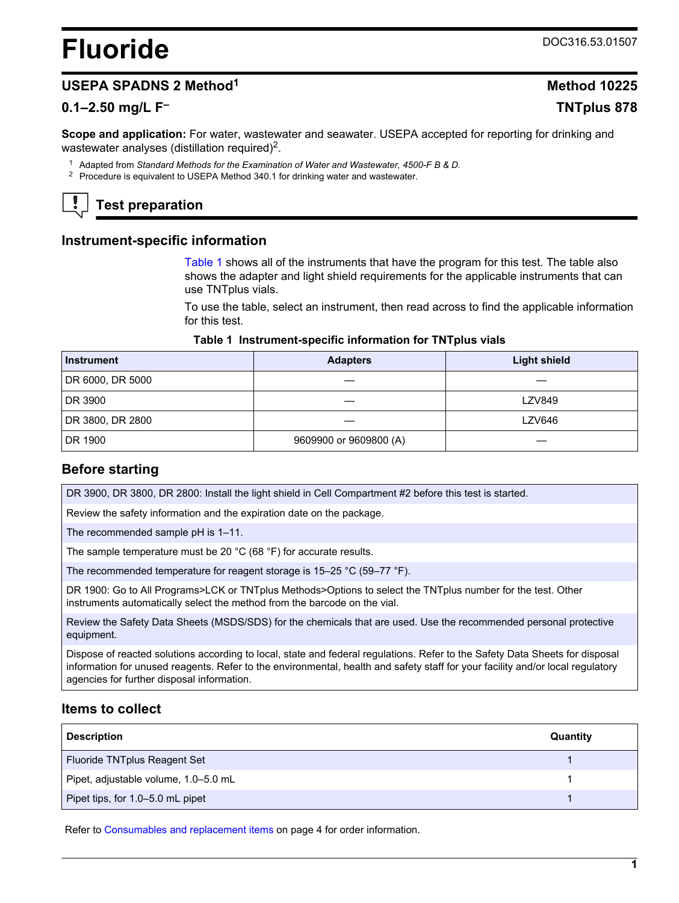# <span id="page-0-0"></span>**Fluoride** DOC316.53.01507

## **USEPA SPADNS 2 Method<sup>1</sup> Method 10225**

## **0.1–2.50 mg/L F– TNTplus 878**

**Scope and application:** For water, wastewater and seawater. USEPA accepted for reporting for drinking and wastewater analyses (distillation required) $<sup>2</sup>$ .</sup>

- <sup>1</sup> Adapted from *Standard Methods for the Examination of Water and Wastewater, 4500-F B & D.*
- <sup>2</sup> Procedure is equivalent to USEPA Method 340.1 for drinking water and wastewater.

# **Test preparation**

## **Instrument-specific information**

Table 1 shows all of the instruments that have the program for this test. The table also shows the adapter and light shield requirements for the applicable instruments that can use TNTplus vials.

To use the table, select an instrument, then read across to find the applicable information for this test.

#### **Table 1 Instrument-specific information for TNTplus vials**

| <b>Instrument</b> | <b>Adapters</b>        | <b>Light shield</b> |
|-------------------|------------------------|---------------------|
| DR 6000, DR 5000  |                        |                     |
| DR 3900           |                        | <b>LZV849</b>       |
| DR 3800, DR 2800  |                        | <b>LZV646</b>       |
| DR 1900           | 9609900 or 9609800 (A) |                     |

## **Before starting**

DR 3900, DR 3800, DR 2800: Install the light shield in Cell Compartment #2 before this test is started.

Review the safety information and the expiration date on the package.

The recommended sample pH is 1–11.

The sample temperature must be 20 °C (68 °F) for accurate results.

The recommended temperature for reagent storage is 15–25 °C (59–77 °F).

DR 1900: Go to All Programs>LCK or TNTplus Methods>Options to select the TNTplus number for the test. Other instruments automatically select the method from the barcode on the vial.

Review the Safety Data Sheets (MSDS/SDS) for the chemicals that are used. Use the recommended personal protective equipment.

Dispose of reacted solutions according to local, state and federal regulations. Refer to the Safety Data Sheets for disposal information for unused reagents. Refer to the environmental, health and safety staff for your facility and/or local regulatory agencies for further disposal information.

## **Items to collect**

| <b>Description</b>                   | Quantity |
|--------------------------------------|----------|
| Fluoride TNTplus Reagent Set         |          |
| Pipet, adjustable volume, 1.0-5.0 mL |          |
| Pipet tips, for 1.0-5.0 mL pipet     |          |

Refer to [Consumables and replacement items](#page-3-0) on page 4 for order information.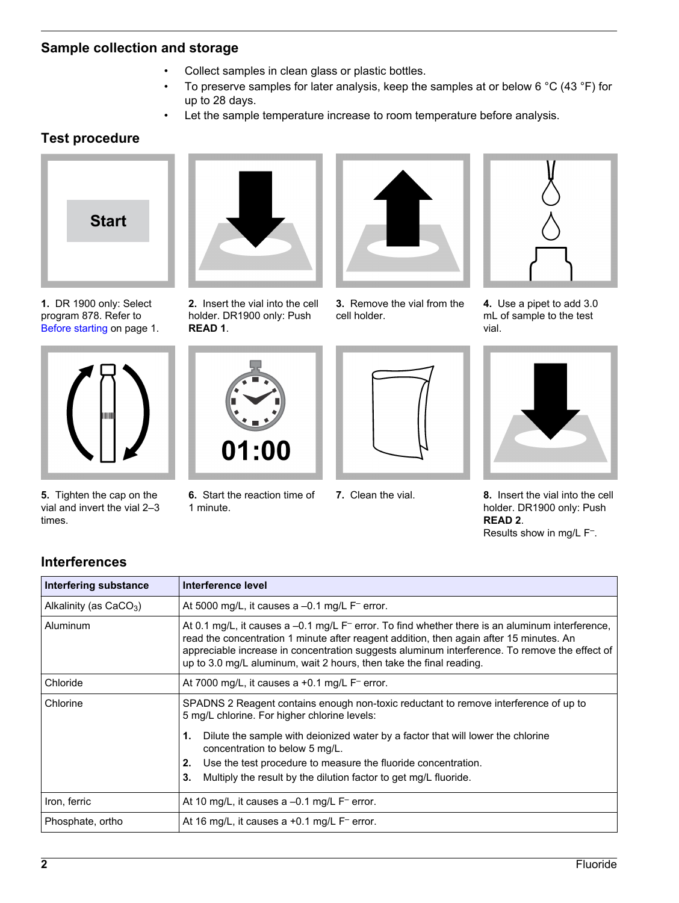## **Sample collection and storage**

- Collect samples in clean glass or plastic bottles.
- To preserve samples for later analysis, keep the samples at or below 6 °C (43 °F) for up to 28 days.
- Let the sample temperature increase to room temperature before analysis.

## **Test procedure**



**1.** DR 1900 only: Select program 878. Refer to [Before starting](#page-0-0) on page 1.



**5.** Tighten the cap on the vial and invert the vial 2–3 times.



**2.** Insert the vial into the cell holder. DR1900 only: Push **READ 1**.



**3.** Remove the vial from the cell holder.



**4.** Use a pipet to add 3.0 mL of sample to the test vial.



**6.** Start the reaction time of 1 minute.





**7.** Clean the vial. **8.** Insert the vial into the cell holder. DR1900 only: Push **READ 2**. Results show in mg/L F– .

## **Interferences**

| Interfering substance    | Interference level                                                                                                                                                                                                                                                                                                                                                             |
|--------------------------|--------------------------------------------------------------------------------------------------------------------------------------------------------------------------------------------------------------------------------------------------------------------------------------------------------------------------------------------------------------------------------|
| Alkalinity (as $CaCO3$ ) | At 5000 mg/L, it causes a $-0.1$ mg/L $F^-$ error.                                                                                                                                                                                                                                                                                                                             |
| Aluminum                 | At 0.1 mg/L, it causes a -0.1 mg/L F <sup>-</sup> error. To find whether there is an aluminum interference,<br>read the concentration 1 minute after reagent addition, then again after 15 minutes. An<br>appreciable increase in concentration suggests aluminum interference. To remove the effect of<br>up to 3.0 mg/L aluminum, wait 2 hours, then take the final reading. |
| Chloride                 | At 7000 mg/L, it causes a $+0.1$ mg/L $F^-$ error.                                                                                                                                                                                                                                                                                                                             |
| Chlorine                 | SPADNS 2 Reagent contains enough non-toxic reductant to remove interference of up to<br>5 mg/L chlorine. For higher chlorine levels:                                                                                                                                                                                                                                           |
|                          | Dilute the sample with deionized water by a factor that will lower the chlorine<br>1.<br>concentration to below 5 mg/L.                                                                                                                                                                                                                                                        |
|                          | Use the test procedure to measure the fluoride concentration.<br>2.                                                                                                                                                                                                                                                                                                            |
|                          | Multiply the result by the dilution factor to get mg/L fluoride.<br>3.                                                                                                                                                                                                                                                                                                         |
| Iron, ferric             | At 10 mg/L, it causes a $-0.1$ mg/L $F^-$ error.                                                                                                                                                                                                                                                                                                                               |
| Phosphate, ortho         | At 16 mg/L, it causes a $+0.1$ mg/L $F^-$ error.                                                                                                                                                                                                                                                                                                                               |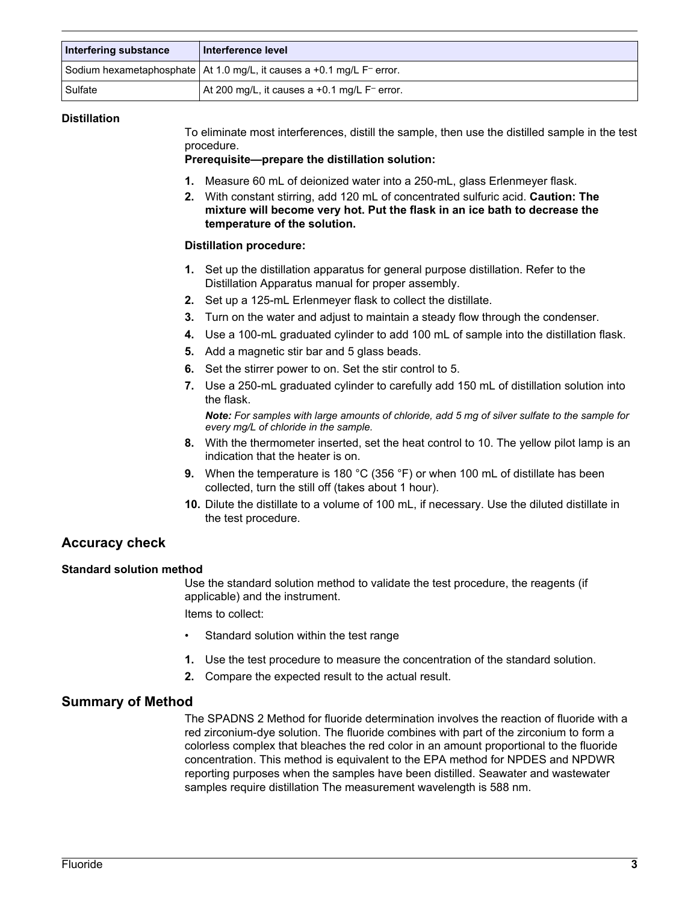| Interfering substance | ∣ Interference level ∣                                                              |
|-----------------------|-------------------------------------------------------------------------------------|
|                       | Sodium hexametaphosphate   At 1.0 mg/L, it causes a +0.1 mg/L F <sup>−</sup> error. |
| Sulfate               | At 200 mg/L, it causes a +0.1 mg/L $F^-$ error.                                     |

#### **Distillation**

To eliminate most interferences, distill the sample, then use the distilled sample in the test procedure.

#### **Prerequisite—prepare the distillation solution:**

- **1.** Measure 60 mL of deionized water into a 250-mL, glass Erlenmeyer flask.
- **2.** With constant stirring, add 120 mL of concentrated sulfuric acid. **Caution: The mixture will become very hot. Put the flask in an ice bath to decrease the temperature of the solution.**

#### **Distillation procedure:**

- **1.** Set up the distillation apparatus for general purpose distillation. Refer to the Distillation Apparatus manual for proper assembly.
- **2.** Set up a 125-mL Erlenmeyer flask to collect the distillate.
- **3.** Turn on the water and adjust to maintain a steady flow through the condenser.
- **4.** Use a 100-mL graduated cylinder to add 100 mL of sample into the distillation flask.
- **5.** Add a magnetic stir bar and 5 glass beads.
- **6.** Set the stirrer power to on. Set the stir control to 5.
- **7.** Use a 250-mL graduated cylinder to carefully add 150 mL of distillation solution into the flask.

*Note: For samples with large amounts of chloride, add 5 mg of silver sulfate to the sample for every mg/L of chloride in the sample.*

- **8.** With the thermometer inserted, set the heat control to 10. The yellow pilot lamp is an indication that the heater is on.
- **9.** When the temperature is 180 °C (356 °F) or when 100 mL of distillate has been collected, turn the still off (takes about 1 hour).
- **10.** Dilute the distillate to a volume of 100 mL, if necessary. Use the diluted distillate in the test procedure.

## **Accuracy check**

#### **Standard solution method**

Use the standard solution method to validate the test procedure, the reagents (if applicable) and the instrument. Items to collect:

- Standard solution within the test range
- **1.** Use the test procedure to measure the concentration of the standard solution.
- **2.** Compare the expected result to the actual result.

## **Summary of Method**

The SPADNS 2 Method for fluoride determination involves the reaction of fluoride with a red zirconium-dye solution. The fluoride combines with part of the zirconium to form a colorless complex that bleaches the red color in an amount proportional to the fluoride concentration. This method is equivalent to the EPA method for NPDES and NPDWR reporting purposes when the samples have been distilled. Seawater and wastewater samples require distillation The measurement wavelength is 588 nm.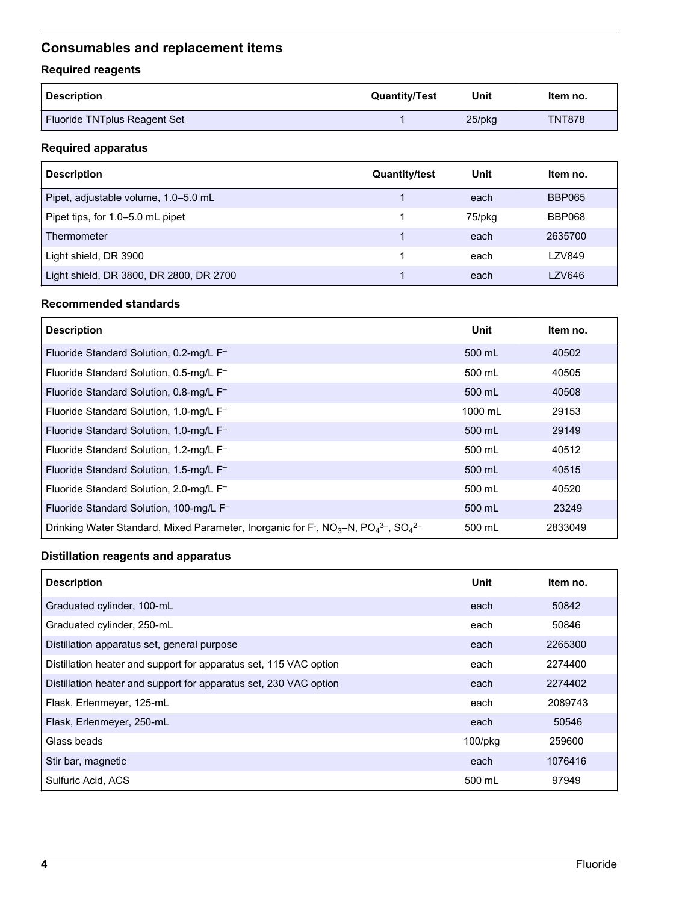## <span id="page-3-0"></span>**Consumables and replacement items**

## **Required reagents**

| <b>Description</b>           | <b>Quantity/Test</b> | Unit      | ltem no.      |
|------------------------------|----------------------|-----------|---------------|
| Fluoride TNTplus Reagent Set |                      | $25$ /pkq | <b>TNT878</b> |

## **Required apparatus**

| <b>Description</b>                      | <b>Quantity/test</b> | Unit   | Item no.      |
|-----------------------------------------|----------------------|--------|---------------|
| Pipet, adjustable volume, 1.0–5.0 mL    |                      | each   | <b>BBP065</b> |
| Pipet tips, for 1.0-5.0 mL pipet        |                      | 75/pkg | <b>BBP068</b> |
| Thermometer                             |                      | each   | 2635700       |
| Light shield, DR 3900                   |                      | each   | LZV849        |
| Light shield, DR 3800, DR 2800, DR 2700 |                      | each   | LZV646        |

## **Recommended standards**

| <b>Description</b>                                                                                                                                         | Unit    | Item no. |
|------------------------------------------------------------------------------------------------------------------------------------------------------------|---------|----------|
| Fluoride Standard Solution, 0.2-mg/L F-                                                                                                                    | 500 mL  | 40502    |
| Fluoride Standard Solution, 0.5-mg/L F-                                                                                                                    | 500 mL  | 40505    |
| Fluoride Standard Solution, 0.8-mg/L F-                                                                                                                    | 500 mL  | 40508    |
| Fluoride Standard Solution, 1.0-mg/L F-                                                                                                                    | 1000 mL | 29153    |
| Fluoride Standard Solution, 1.0-mg/L F-                                                                                                                    | 500 mL  | 29149    |
| Fluoride Standard Solution, 1.2-mg/L F-                                                                                                                    | 500 mL  | 40512    |
| Fluoride Standard Solution, 1.5-mg/L F-                                                                                                                    | 500 mL  | 40515    |
| Fluoride Standard Solution, 2.0-mg/L F-                                                                                                                    | 500 mL  | 40520    |
| Fluoride Standard Solution, 100-mg/L F-                                                                                                                    | 500 mL  | 23249    |
| Drinking Water Standard, Mixed Parameter, Inorganic for F <sup>-</sup> , NO <sub>3</sub> -N, PO <sub>4</sub> <sup>3-</sup> , SO <sub>4</sub> <sup>2-</sup> | 500 mL  | 2833049  |

## **Distillation reagents and apparatus**

| <b>Description</b>                                                | Unit    | Item no. |
|-------------------------------------------------------------------|---------|----------|
| Graduated cylinder, 100-mL                                        | each    | 50842    |
| Graduated cylinder, 250-mL                                        | each    | 50846    |
| Distillation apparatus set, general purpose                       | each    | 2265300  |
| Distillation heater and support for apparatus set, 115 VAC option | each    | 2274400  |
| Distillation heater and support for apparatus set, 230 VAC option | each    | 2274402  |
| Flask, Erlenmeyer, 125-mL                                         | each    | 2089743  |
| Flask, Erlenmeyer, 250-mL                                         | each    | 50546    |
| Glass beads                                                       | 100/pkg | 259600   |
| Stir bar, magnetic                                                | each    | 1076416  |
| Sulfuric Acid, ACS                                                | 500 mL  | 97949    |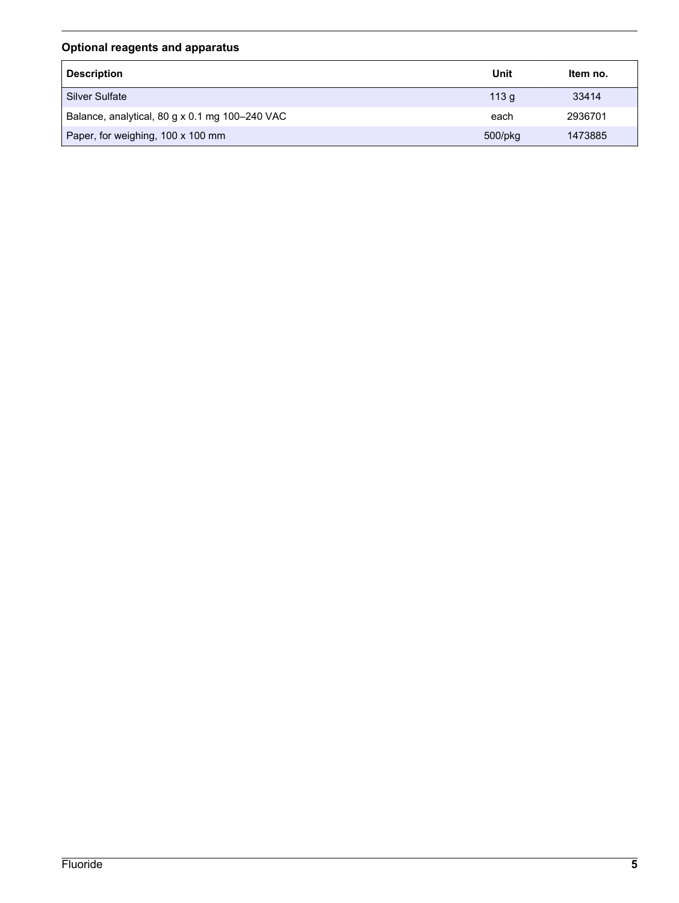## **Optional reagents and apparatus**

| <b>Description</b>                             | Unit          | Item no. |
|------------------------------------------------|---------------|----------|
| <b>Silver Sulfate</b>                          | 113q          | 33414    |
| Balance, analytical, 80 g x 0.1 mg 100-240 VAC | each          | 2936701  |
| Paper, for weighing, 100 x 100 mm              | $500$ /p $kg$ | 1473885  |